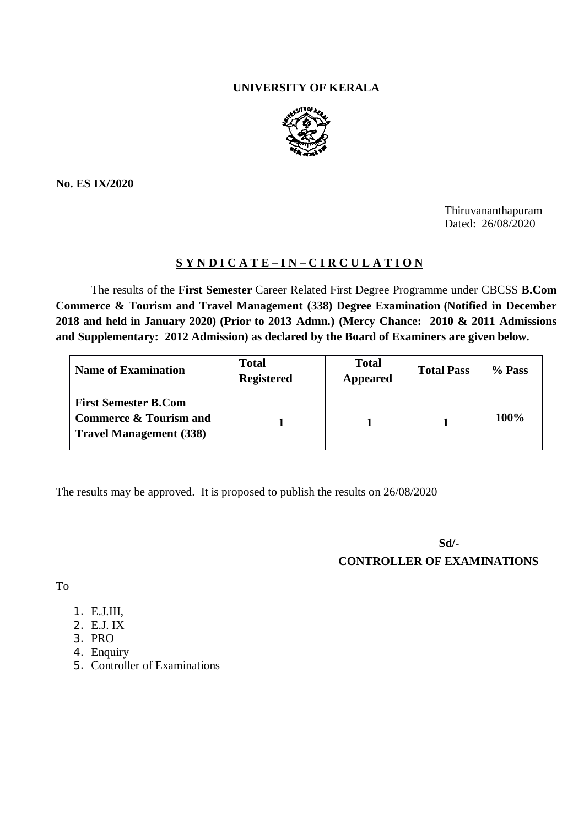## **UNIVERSITY OF KERALA**



**No. ES IX/2020**

Thiruvananthapuram Dated: 26/08/2020

## **S Y N D I C A T E – I N – C I R C U L A T I O N**

The results of the **First Semester** Career Related First Degree Programme under CBCSS **B.Com Commerce & Tourism and Travel Management (338) Degree Examination (Notified in December 2018 and held in January 2020) (Prior to 2013 Admn.) (Mercy Chance: 2010 & 2011 Admissions and Supplementary: 2012 Admission) as declared by the Board of Examiners are given below.**

| <b>Name of Examination</b>                                                                         | Total<br><b>Registered</b> | <b>Total</b><br><b>Appeared</b> | <b>Total Pass</b> | % Pass |
|----------------------------------------------------------------------------------------------------|----------------------------|---------------------------------|-------------------|--------|
| <b>First Semester B.Com</b><br><b>Commerce &amp; Tourism and</b><br><b>Travel Management (338)</b> |                            |                                 |                   | 100%   |

The results may be approved. It is proposed to publish the results on 26/08/2020

**Sd/-**

**CONTROLLER OF EXAMINATIONS**

To

- 1. E.J.III,
- 2. E.J. IX
- 3. PRO
- 4. Enquiry
- 5. Controller of Examinations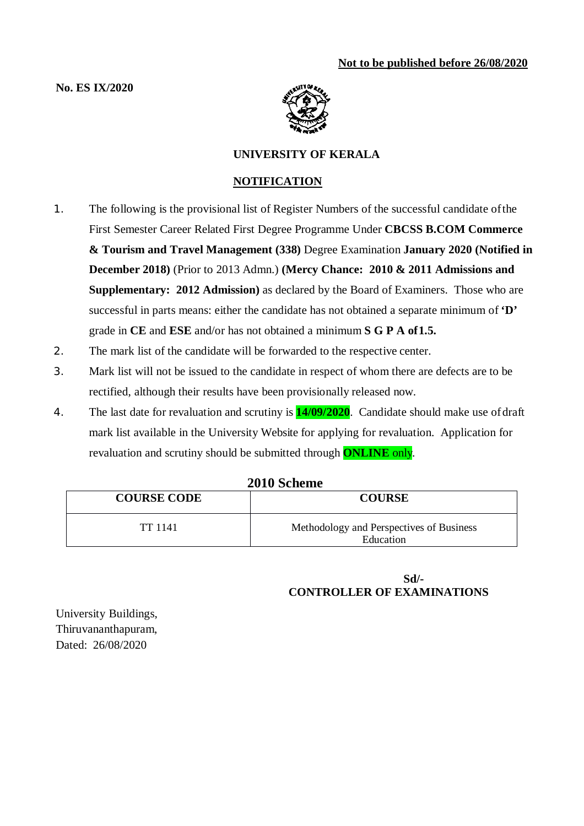## **No. ES IX/2020**



## **UNIVERSITY OF KERALA**

## **NOTIFICATION**

- 1. The following is the provisional list of Register Numbers of the successful candidate ofthe First Semester Career Related First Degree Programme Under **CBCSS B.COM Commerce & Tourism and Travel Management (338)** Degree Examination **January 2020 (Notified in December 2018)** (Prior to 2013 Admn.) **(Mercy Chance: 2010 & 2011 Admissions and Supplementary: 2012 Admission)** as declared by the Board of Examiners. Those who are successful in parts means: either the candidate has not obtained a separate minimum of **'D'**  grade in **CE** and **ESE** and/or has not obtained a minimum **S G P A of1.5.**
- 2. The mark list of the candidate will be forwarded to the respective center.
- 3. Mark list will not be issued to the candidate in respect of whom there are defects are to be rectified, although their results have been provisionally released now.
- 4. The last date for revaluation and scrutiny is **14/09/2020**. Candidate should make use ofdraft mark list available in the University Website for applying for revaluation. Application for revaluation and scrutiny should be submitted through **ONLINE** only.

| ZVIV DURINU        |                                                       |  |  |
|--------------------|-------------------------------------------------------|--|--|
| <b>COURSE CODE</b> | <b>COURSE</b>                                         |  |  |
| TT 1141            | Methodology and Perspectives of Business<br>Education |  |  |

# **2010 Scheme**

## **Sd/- CONTROLLER OF EXAMINATIONS**

University Buildings, Thiruvananthapuram, Dated: 26/08/2020